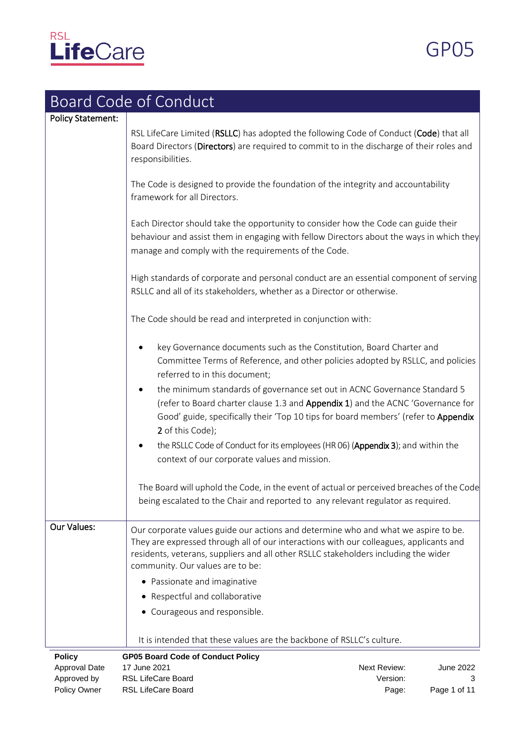

GP05

|                          | <b>Board Code of Conduct</b>                                                                                                                                                                                                                                                                                                                                                                                                                                                                                                                                                                                                                                                                                                                                                                        |              |              |
|--------------------------|-----------------------------------------------------------------------------------------------------------------------------------------------------------------------------------------------------------------------------------------------------------------------------------------------------------------------------------------------------------------------------------------------------------------------------------------------------------------------------------------------------------------------------------------------------------------------------------------------------------------------------------------------------------------------------------------------------------------------------------------------------------------------------------------------------|--------------|--------------|
| <b>Policy Statement:</b> |                                                                                                                                                                                                                                                                                                                                                                                                                                                                                                                                                                                                                                                                                                                                                                                                     |              |              |
|                          | RSL LifeCare Limited (RSLLC) has adopted the following Code of Conduct (Code) that all<br>Board Directors (Directors) are required to commit to in the discharge of their roles and<br>responsibilities.                                                                                                                                                                                                                                                                                                                                                                                                                                                                                                                                                                                            |              |              |
|                          | The Code is designed to provide the foundation of the integrity and accountability<br>framework for all Directors.                                                                                                                                                                                                                                                                                                                                                                                                                                                                                                                                                                                                                                                                                  |              |              |
|                          | Each Director should take the opportunity to consider how the Code can guide their<br>behaviour and assist them in engaging with fellow Directors about the ways in which they<br>manage and comply with the requirements of the Code.                                                                                                                                                                                                                                                                                                                                                                                                                                                                                                                                                              |              |              |
|                          | High standards of corporate and personal conduct are an essential component of serving<br>RSLLC and all of its stakeholders, whether as a Director or otherwise.                                                                                                                                                                                                                                                                                                                                                                                                                                                                                                                                                                                                                                    |              |              |
|                          | The Code should be read and interpreted in conjunction with:                                                                                                                                                                                                                                                                                                                                                                                                                                                                                                                                                                                                                                                                                                                                        |              |              |
|                          | key Governance documents such as the Constitution, Board Charter and<br>Committee Terms of Reference, and other policies adopted by RSLLC, and policies<br>referred to in this document;<br>the minimum standards of governance set out in ACNC Governance Standard 5<br>$\bullet$<br>(refer to Board charter clause 1.3 and Appendix 1) and the ACNC 'Governance for<br>Good' guide, specifically their 'Top 10 tips for board members' (refer to Appendix<br>2 of this Code);<br>the RSLLC Code of Conduct for its employees (HR 06) (Appendix 3); and within the<br>context of our corporate values and mission.<br>The Board will uphold the Code, in the event of actual or perceived breaches of the Code<br>being escalated to the Chair and reported to any relevant regulator as required. |              |              |
| <b>Our Values:</b>       | Our corporate values guide our actions and determine who and what we aspire to be.<br>They are expressed through all of our interactions with our colleagues, applicants and<br>residents, veterans, suppliers and all other RSLLC stakeholders including the wider<br>community. Our values are to be:                                                                                                                                                                                                                                                                                                                                                                                                                                                                                             |              |              |
|                          | • Passionate and imaginative                                                                                                                                                                                                                                                                                                                                                                                                                                                                                                                                                                                                                                                                                                                                                                        |              |              |
|                          | • Respectful and collaborative                                                                                                                                                                                                                                                                                                                                                                                                                                                                                                                                                                                                                                                                                                                                                                      |              |              |
|                          | • Courageous and responsible.                                                                                                                                                                                                                                                                                                                                                                                                                                                                                                                                                                                                                                                                                                                                                                       |              |              |
|                          | It is intended that these values are the backbone of RSLLC's culture.                                                                                                                                                                                                                                                                                                                                                                                                                                                                                                                                                                                                                                                                                                                               |              |              |
| <b>Policy</b>            | <b>GP05 Board Code of Conduct Policy</b>                                                                                                                                                                                                                                                                                                                                                                                                                                                                                                                                                                                                                                                                                                                                                            |              |              |
| Approval Date            | 17 June 2021                                                                                                                                                                                                                                                                                                                                                                                                                                                                                                                                                                                                                                                                                                                                                                                        | Next Review: | June 2022    |
| Approved by              | RSL LifeCare Board                                                                                                                                                                                                                                                                                                                                                                                                                                                                                                                                                                                                                                                                                                                                                                                  | Version:     | 3            |
| Policy Owner             | RSL LifeCare Board                                                                                                                                                                                                                                                                                                                                                                                                                                                                                                                                                                                                                                                                                                                                                                                  | Page:        | Page 1 of 11 |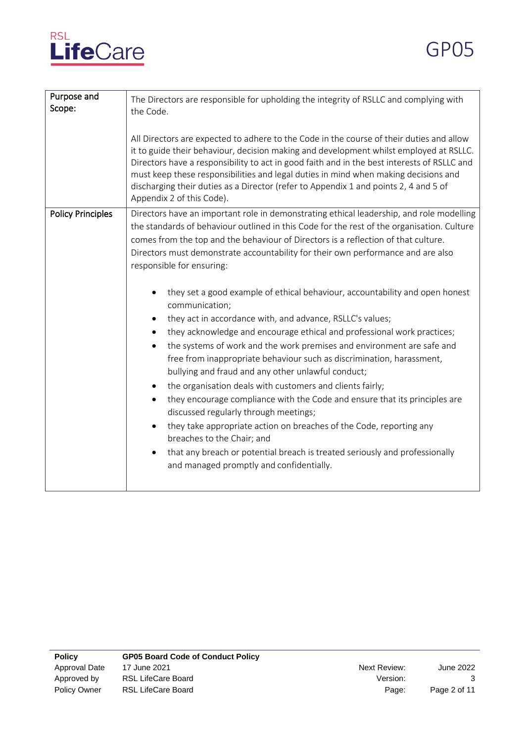

| Purpose and<br>Scope:    | The Directors are responsible for upholding the integrity of RSLLC and complying with<br>the Code.                                                                                                                                                                                                                                                                                                                                                                                                                                                                                                                                                                                                                                                                                                                                                                                                                                                                                                                                                                                                                                                                                                                                                                                                          |  |  |
|--------------------------|-------------------------------------------------------------------------------------------------------------------------------------------------------------------------------------------------------------------------------------------------------------------------------------------------------------------------------------------------------------------------------------------------------------------------------------------------------------------------------------------------------------------------------------------------------------------------------------------------------------------------------------------------------------------------------------------------------------------------------------------------------------------------------------------------------------------------------------------------------------------------------------------------------------------------------------------------------------------------------------------------------------------------------------------------------------------------------------------------------------------------------------------------------------------------------------------------------------------------------------------------------------------------------------------------------------|--|--|
|                          | All Directors are expected to adhere to the Code in the course of their duties and allow<br>it to guide their behaviour, decision making and development whilst employed at RSLLC.<br>Directors have a responsibility to act in good faith and in the best interests of RSLLC and<br>must keep these responsibilities and legal duties in mind when making decisions and<br>discharging their duties as a Director (refer to Appendix 1 and points 2, 4 and 5 of<br>Appendix 2 of this Code).                                                                                                                                                                                                                                                                                                                                                                                                                                                                                                                                                                                                                                                                                                                                                                                                               |  |  |
| <b>Policy Principles</b> | Directors have an important role in demonstrating ethical leadership, and role modelling<br>the standards of behaviour outlined in this Code for the rest of the organisation. Culture<br>comes from the top and the behaviour of Directors is a reflection of that culture.<br>Directors must demonstrate accountability for their own performance and are also<br>responsible for ensuring:<br>they set a good example of ethical behaviour, accountability and open honest<br>communication;<br>they act in accordance with, and advance, RSLLC's values;<br>they acknowledge and encourage ethical and professional work practices;<br>the systems of work and the work premises and environment are safe and<br>$\bullet$<br>free from inappropriate behaviour such as discrimination, harassment,<br>bullying and fraud and any other unlawful conduct;<br>the organisation deals with customers and clients fairly;<br>they encourage compliance with the Code and ensure that its principles are<br>$\bullet$<br>discussed regularly through meetings;<br>they take appropriate action on breaches of the Code, reporting any<br>breaches to the Chair; and<br>that any breach or potential breach is treated seriously and professionally<br>$\bullet$<br>and managed promptly and confidentially. |  |  |
|                          |                                                                                                                                                                                                                                                                                                                                                                                                                                                                                                                                                                                                                                                                                                                                                                                                                                                                                                                                                                                                                                                                                                                                                                                                                                                                                                             |  |  |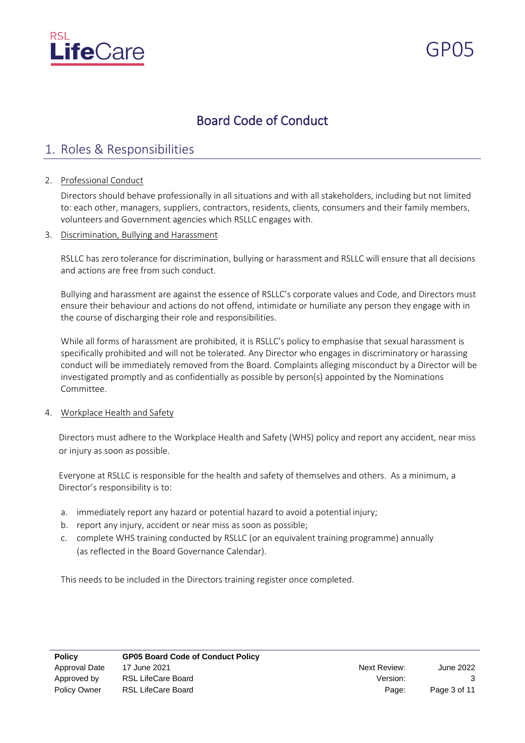

# Board Code of Conduct

## 1. Roles & Responsibilities

### 2. Professional Conduct

Directors should behave professionally in all situations and with all stakeholders, including but not limited to: each other, managers, suppliers, contractors, residents, clients, consumers and their family members, volunteers and Government agencies which RSLLC engages with.

3. Discrimination, Bullying and Harassment

RSLLC has zero tolerance for discrimination, bullying or harassment and RSLLC will ensure that all decisions and actions are free from such conduct.

Bullying and harassment are against the essence of RSLLC's corporate values and Code, and Directors must ensure their behaviour and actions do not offend, intimidate or humiliate any person they engage with in the course of discharging their role and responsibilities.

While all forms of harassment are prohibited, it is RSLLC's policy to emphasise that sexual harassment is specifically prohibited and will not be tolerated. Any Director who engages in discriminatory or harassing conduct will be immediately removed from the Board. Complaints alleging misconduct by a Director will be investigated promptly and as confidentially as possible by person(s) appointed by the Nominations Committee.

### 4. Workplace Health and Safety

Directors must adhere to the Workplace Health and Safety (WHS) policy and report any accident, near miss or injury as soon as possible.

Everyone at RSLLC is responsible for the health and safety of themselves and others. As a minimum, a Director's responsibility is to:

- a. immediately report any hazard or potential hazard to avoid a potential injury;
- b. report any injury, accident or near miss as soon as possible;
- c. complete WHS training conducted by RSLLC (or an equivalent training programme) annually (as reflected in the Board Governance Calendar).

This needs to be included in the Directors training register once completed.

| <b>Policy</b> | <b>GP05 Board Code of Conduct Policy</b> |              |              |
|---------------|------------------------------------------|--------------|--------------|
| Approval Date | 17 June 2021                             | Next Review: | June 2022    |
| Approved by   | RSL LifeCare Board                       | Version:     |              |
| Policy Owner  | RSL LifeCare Board                       | Page:        | Page 3 of 11 |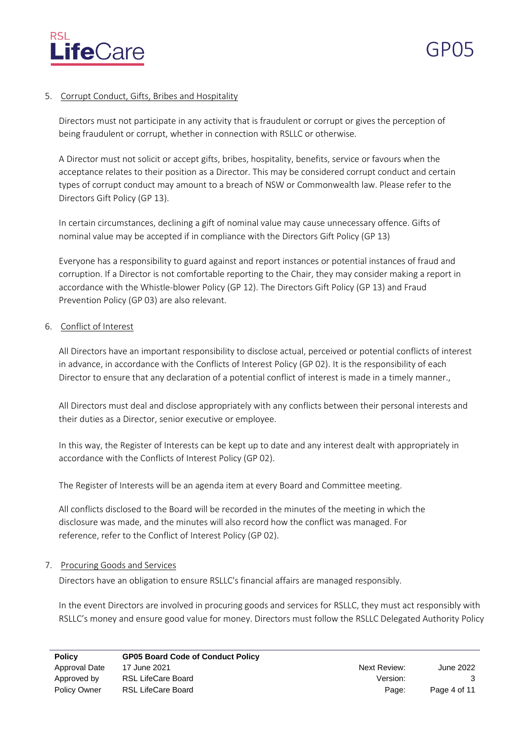

### 5. Corrupt Conduct, Gifts, Bribes and Hospitality

Directors must not participate in any activity that is fraudulent or corrupt or gives the perception of being fraudulent or corrupt, whether in connection with RSLLC or otherwise.

A Director must not solicit or accept gifts, bribes, hospitality, benefits, service or favours when the acceptance relates to their position as a Director. This may be considered corrupt conduct and certain types of corrupt conduct may amount to a breach of NSW or Commonwealth law. Please refer to the Directors Gift Policy (GP 13).

In certain circumstances, declining a gift of nominal value may cause unnecessary offence. Gifts of nominal value may be accepted if in compliance with the Directors Gift Policy (GP 13)

Everyone has a responsibility to guard against and report instances or potential instances of fraud and corruption. If a Director is not comfortable reporting to the Chair, they may consider making a report in accordance with the Whistle-blower Policy (GP 12). The Directors Gift Policy (GP 13) and Fraud Prevention Policy (GP 03) are also relevant.

### 6. Conflict of Interest

All Directors have an important responsibility to disclose actual, perceived or potential conflicts of interest in advance, in accordance with the Conflicts of Interest Policy (GP 02). It is the responsibility of each Director to ensure that any declaration of a potential conflict of interest is made in a timely manner.,

All Directors must deal and disclose appropriately with any conflicts between their personal interests and their duties as a Director, senior executive or employee.

In this way, the Register of Interests can be kept up to date and any interest dealt with appropriately in accordance with the Conflicts of Interest Policy (GP 02).

The Register of Interests will be an agenda item at every Board and Committee meeting.

All conflicts disclosed to the Board will be recorded in the minutes of the meeting in which the disclosure was made, and the minutes will also record how the conflict was managed. For reference, refer to the Conflict of Interest Policy (GP 02).

### 7. Procuring Goods and Services

Directors have an obligation to ensure RSLLC's financial affairs are managed responsibly.

In the event Directors are involved in procuring goods and services for RSLLC, they must act responsibly with RSLLC's money and ensure good value for money. Directors must follow the RSLLC Delegated Authority Policy

| <b>Policy</b>       | <b>GP05 Board Code of Conduct Policy</b> |              |              |
|---------------------|------------------------------------------|--------------|--------------|
| Approval Date       | 17 June 2021                             | Next Review: | June 2022    |
| Approved by         | RSL LifeCare Board                       | Version:     |              |
| <b>Policy Owner</b> | RSL LifeCare Board                       | Page:        | Page 4 of 11 |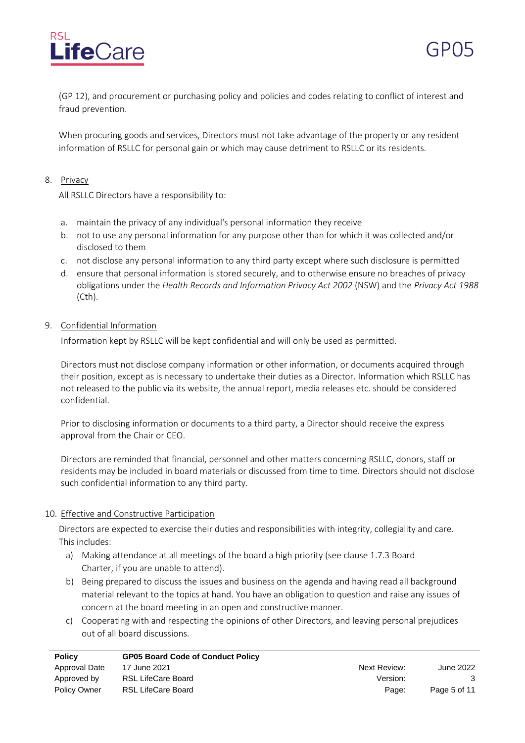



(GP 12), and procurement or purchasing policy and policies and codes relating to conflict of interest and fraud prevention.

When procuring goods and services, Directors must not take advantage of the property or any resident information of RSLLC for personal gain or which may cause detriment to RSLLC or its residents.

### 8. Privacy

All RSLLC Directors have a responsibility to:

- a. maintain the privacy of any individual's personal information they receive
- b. not to use any personal information for any purpose other than for which it was collected and/or disclosed to them
- c. not disclose any personal information to any third party except where such disclosure is permitted
- d. ensure that personal information is stored securely, and to otherwise ensure no breaches of privacy obligations under the *Health Records and Information Privacy Act 2002* (NSW) and the *Privacy Act 1988*  (Cth).

### 9. Confidential Information

Information kept by RSLLC will be kept confidential and will only be used as permitted.

Directors must not disclose company information or other information, or documents acquired through their position, except as is necessary to undertake their duties as a Director. Information which RSLLC has not released to the public via its website, the annual report, media releases etc. should be considered confidential.

Prior to disclosing information or documents to a third party, a Director should receive the express approval from the Chair or CEO.

Directors are reminded that financial, personnel and other matters concerning RSLLC, donors, staff or residents may be included in board materials or discussed from time to time. Directors should not disclose such confidential information to any third party.

### 10. Effective and Constructive Participation

Directors are expected to exercise their duties and responsibilities with integrity, collegiality and care. This includes:

- a) Making attendance at all meetings of the board a high priority (see clause 1.7.3 Board Charter, if you are unable to attend).
- b) Being prepared to discuss the issues and business on the agenda and having read all background material relevant to the topics at hand. You have an obligation to question and raise any issues of concern at the board meeting in an open and constructive manner.
- c) Cooperating with and respecting the opinions of other Directors, and leaving personal prejudices out of all board discussions.

| <b>Policy</b>       | <b>GP05 Board Code of Conduct Policy</b> |              |              |
|---------------------|------------------------------------------|--------------|--------------|
| Approval Date       | 17 June 2021                             | Next Review: | June 2022    |
| Approved by         | RSL LifeCare Board                       | Version:     |              |
| <b>Policy Owner</b> | RSL LifeCare Board                       | Page:        | Page 5 of 11 |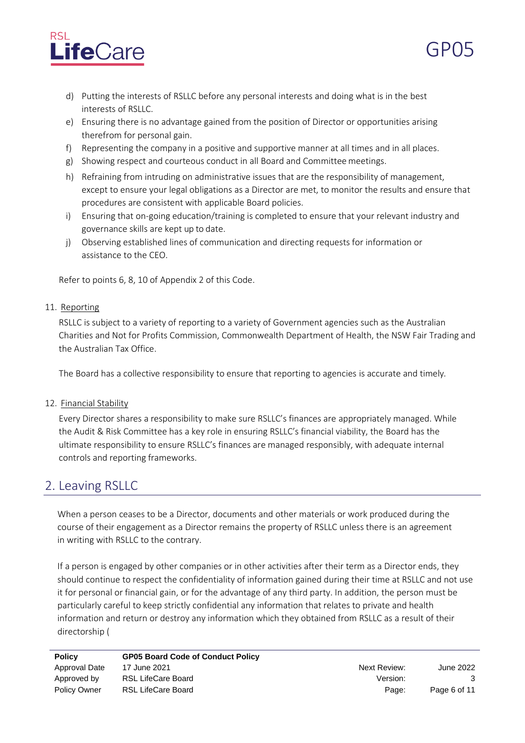



- e) Ensuring there is no advantage gained from the position of Director or opportunities arising therefrom for personal gain.
- f) Representing the company in a positive and supportive manner at all times and in all places.
- g) Showing respect and courteous conduct in all Board and Committee meetings.
- h) Refraining from intruding on administrative issues that are the responsibility of management, except to ensure your legal obligations as a Director are met, to monitor the results and ensure that procedures are consistent with applicable Board policies.
- i) Ensuring that on-going education/training is completed to ensure that your relevant industry and governance skills are kept up to date.
- j) Observing established lines of communication and directing requests for information or assistance to the CEO.

Refer to points 6, 8, 10 of Appendix 2 of this Code.

### 11. Reporting

RSLLC is subject to a variety of reporting to a variety of Government agencies such as the Australian Charities and Not for Profits Commission, Commonwealth Department of Health, the NSW Fair Trading and the Australian Tax Office.

The Board has a collective responsibility to ensure that reporting to agencies is accurate and timely*.*

### 12. Financial Stability

Every Director shares a responsibility to make sure RSLLC's finances are appropriately managed. While the Audit & Risk Committee has a key role in ensuring RSLLC's financial viability, the Board has the ultimate responsibility to ensure RSLLC's finances are managed responsibly, with adequate internal controls and reporting frameworks.

### 2. Leaving RSLLC

When a person ceases to be a Director, documents and other materials or work produced during the course of their engagement as a Director remains the property of RSLLC unless there is an agreement in writing with RSLLC to the contrary.

If a person is engaged by other companies or in other activities after their term as a Director ends, they should continue to respect the confidentiality of information gained during their time at RSLLC and not use it for personal or financial gain, or for the advantage of any third party. In addition, the person must be particularly careful to keep strictly confidential any information that relates to private and health information and return or destroy any information which they obtained from RSLLC as a result of their directorship (

| <b>Policy</b>       | <b>GP05 Board Code of Conduct Policy</b> |              |              |
|---------------------|------------------------------------------|--------------|--------------|
| Approval Date       | 17 June 2021                             | Next Review: | June 2022    |
| Approved by         | RSL LifeCare Board                       | Version:     |              |
| <b>Policy Owner</b> | RSL LifeCare Board                       | Page:        | Page 6 of 11 |

GP05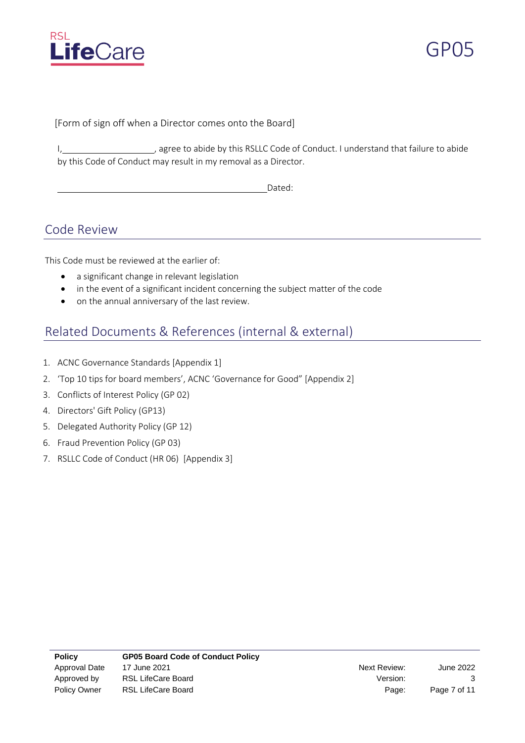



[Form of sign off when a Director comes onto the Board]

I, 1, 1, 1, 1, agree to abide by this RSLLC Code of Conduct. I understand that failure to abide by this Code of Conduct may result in my removal as a Director.

Dated:

### Code Review

This Code must be reviewed at the earlier of:

- a significant change in relevant legislation
- in the event of a significant incident concerning the subject matter of the code
- on the annual anniversary of the last review.

### Related Documents & References (internal & external)

- 1. ACNC Governance Standards [Appendix 1]
- 2. 'Top 10 tips for board members', ACNC 'Governance for Good" [Appendix 2]
- 3. Conflicts of Interest Policy (GP 02)
- 4. Directors' Gift Policy (GP13)
- 5. Delegated Authority Policy (GP 12)
- 6. Fraud Prevention Policy (GP 03)
- 7. RSLLC Code of Conduct (HR 06) [Appendix 3]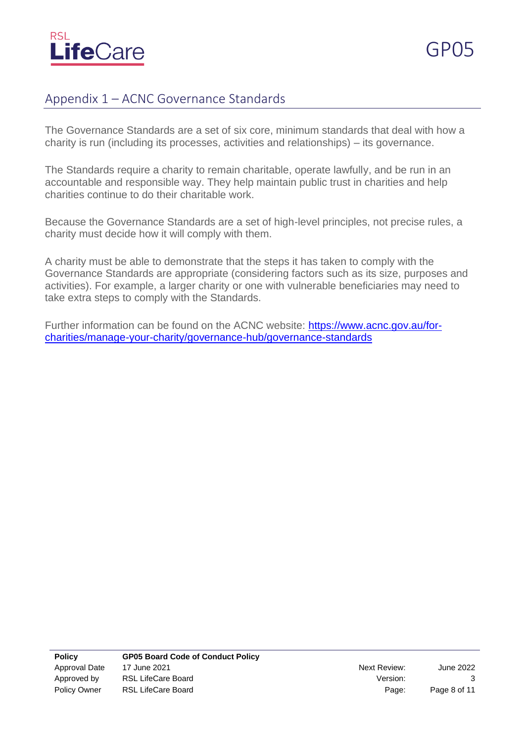

## Appendix 1 – ACNC Governance Standards

The Governance Standards are a set of six core, minimum standards that deal with how a charity is run (including its processes, activities and relationships) – its governance.

The Standards require a charity to remain charitable, operate lawfully, and be run in an accountable and responsible way. They help maintain public trust in charities and help charities continue to do their charitable work.

Because the Governance Standards are a set of high-level principles, not precise rules, a charity must decide how it will comply with them.

A charity must be able to demonstrate that the steps it has taken to comply with the Governance Standards are appropriate (considering factors such as its size, purposes and activities). For example, a larger charity or one with vulnerable beneficiaries may need to take extra steps to comply with the Standards.

Further information can be found on the ACNC website: [https://www.acnc.gov.au/for](https://www.acnc.gov.au/for-charities/manage-your-charity/governance-hub/governance-standards)[charities/manage-your-charity/governance-hub/governance-standards](https://www.acnc.gov.au/for-charities/manage-your-charity/governance-hub/governance-standards)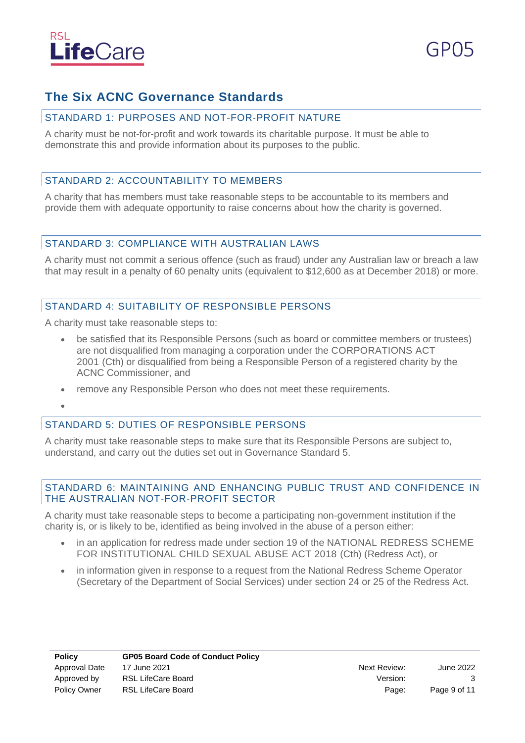

## **The Six ACNC Governance Standards**

### STANDARD 1: PURPOSES AND NOT-FOR-PROFIT NATURE

A charity must be not-for-profit and work towards its charitable purpose. It must be able to demonstrate this and provide information about its purposes to the public.

### STANDARD 2: ACCOUNTABILITY TO MEMBERS

A charity that has members must take reasonable steps to be accountable to its members and provide them with adequate opportunity to raise concerns about how the charity is governed.

### STANDARD 3: COMPLIANCE WITH AUSTRALIAN LAWS

A charity must not commit a serious offence (such as fraud) under any Australian law or breach a law that may result in a penalty of 60 penalty units (equivalent to \$12,600 as at December 2018) or more.

### STANDARD 4: SUITABILITY OF RESPONSIBLE PERSONS

A charity must take reasonable steps to:

- be satisfied that its Responsible Persons (such as board or committee members or trustees) are not disqualified from managing a corporation under the CORPORATIONS ACT 2001 (Cth) or disqualified from being a Responsible Person of a registered charity by the ACNC Commissioner, and
- remove any Responsible Person who does not meet these requirements.
- •

### STANDARD 5: DUTIES OF RESPONSIBLE PERSONS

A charity must take reasonable steps to make sure that its Responsible Persons are subject to, understand, and carry out the duties set out in Governance Standard 5.

### STANDARD 6: MAINTAINING AND ENHANCING PUBLIC TRUST AND CONFIDENCE IN THE AUSTRALIAN NOT-FOR-PROFIT SECTOR

A charity must take reasonable steps to become a participating non-government institution if the charity is, or is likely to be, identified as being involved in the abuse of a person either:

- in an application for redress made under section 19 of the NATIONAL REDRESS SCHEME FOR INSTITUTIONAL CHILD SEXUAL ABUSE ACT 2018 (Cth) (Redress Act), or
- in information given in response to a request from the National Redress Scheme Operator (Secretary of the Department of Social Services) under section 24 or 25 of the Redress Act.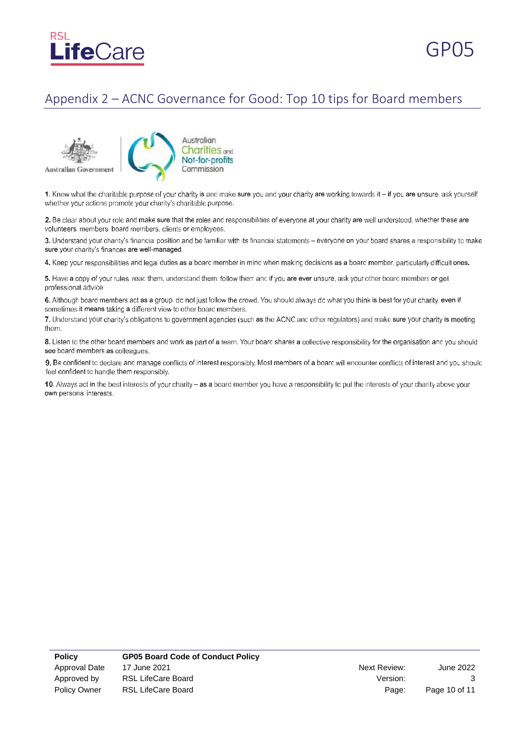



## Appendix 2 – ACNC Governance for Good: Top 10 tips for Board members



Australian **Charities** and Not-for-profits Commission

1. Know what the charitable purpose of your charity is and make sure you and your charity are working towards it - if you are unsure, ask yourself whether your actions promote your charity's charitable purpose.

2. Be clear about your role and make sure that the roles and responsibilities of everyone at your charity are well understood, whether these are volunteers, members, board members, clients or employees.

3. Understand your charity's financial position and be familiar with its financial statements - everyone on your board shares a responsibility to make sure your charity's finances are well-managed.

4. Keep your responsibilities and legal duties as a board member in mind when making decisions as a board member, particularly difficult ones.

5. Have a copy of your rules: read them, understand them, follow them and if you are ever unsure, ask your other board members or get professional advice.

6. Although board members act as a group, do not just follow the crowd. You should always do what you think is best for your charity, even if sometimes it means taking a different view to other board members.

7. Understand your charity's obligations to government agencies (such as the ACNC and other regulators) and make sure your charity is meeting them.

8. Listen to the other board members and work as part of a team. Your board shares a collective responsibility for the organisation and you should see board members as colleagues.

9. Be confident to declare and manage conflicts of interest responsibly. Most members of a board will encounter conflicts of interest and you should feel confident to handle them responsibly.

10. Always act in the best interests of your charity - as a board member you have a responsibility to put the interests of your charity above your own personal interests.